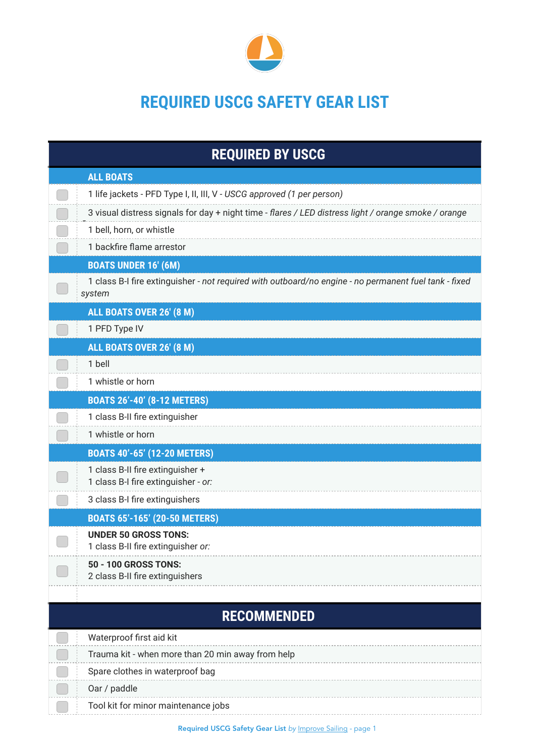

## **REQUIRED USCG SAFETY GEAR LIST**

| <b>REQUIRED BY USCG</b>                                                                                         |
|-----------------------------------------------------------------------------------------------------------------|
| <b>ALL BOATS</b>                                                                                                |
| 1 life jackets - PFD Type I, II, III, V - USCG approved (1 per person)                                          |
| 3 visual distress signals for day + night time - flares / LED distress light / orange smoke / orange            |
| 1 bell, horn, or whistle                                                                                        |
| 1 backfire flame arrestor                                                                                       |
| <b>BOATS UNDER 16' (6M)</b>                                                                                     |
| 1 class B-I fire extinguisher - not required with outboard/no engine - no permanent fuel tank - fixed<br>system |
| ALL BOATS OVER 26' (8 M)                                                                                        |
| 1 PFD Type IV                                                                                                   |
| ALL BOATS OVER 26' (8 M)                                                                                        |
| 1 bell                                                                                                          |
| 1 whistle or horn                                                                                               |
| <b>BOATS 26'-40' (8-12 METERS)</b>                                                                              |
| 1 class B-II fire extinguisher                                                                                  |
| 1 whistle or horn                                                                                               |
| <b>BOATS 40'-65' (12-20 METERS)</b>                                                                             |
| 1 class B-II fire extinguisher +<br>1 class B-I fire extinguisher - or:                                         |
| 3 class B-I fire extinguishers                                                                                  |
| <b>BOATS 65'-165' (20-50 METERS)</b>                                                                            |
| <b>UNDER 50 GROSS TONS:</b><br>1 class B-II fire extinguisher or:                                               |
| <b>50 - 100 GROSS TONS:</b><br>2 class B-II fire extinguishers                                                  |
| <b>RECOMMENDED</b>                                                                                              |
| Waterproof first aid kit                                                                                        |
| Trauma kit - when more than 20 min away from help                                                               |
| Spare clothes in waterproof bag                                                                                 |
| Oar / paddle                                                                                                    |
| Tool kit for minor maintenance jobs                                                                             |